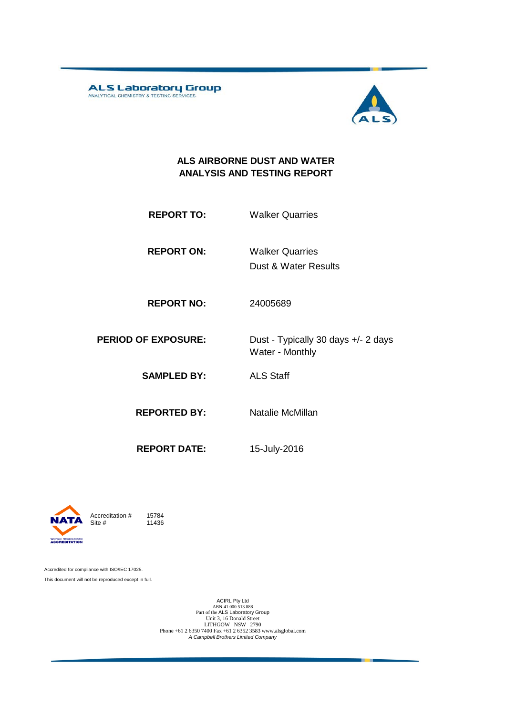ALS Laboratory Group



#### **ALS AIRBORNE DUST AND WATER ANALYSIS AND TESTING REPORT**

**REPORT TO:** Walker Quarries

**REPORT ON:** Dust & Water Results Walker Quarries

**REPORT NO:** 24005689

**PERIOD OF EXPOSURE:** Dust - Typically 30 days +/- 2 days

Water - Monthly

**SAMPLED BY:** ALS Staff

**REPORTED BY:** Natalie McMillan

**REPORT DATE:** 15-July-2016

**WORLD RECOGNISED**<br>**ACCREDITATION** 

Accreditation  $\#$  15784<br>Site  $\#$  11436 11436

Accredited for compliance with ISO/IEC 17025. This document will not be reproduced except in full.

> ACIRL Pty Ltd<br>
> ABN 41 000 513 888<br>
> Part of the ALS Laboratory Group<br>
> Unit 3, 16 Donald Street LITHGOW NSW 2790 Phone +61 2 6350 7400 Fax +61 2 6352 3583 www.alsglobal.com *A Campbell Brothers Limited Company*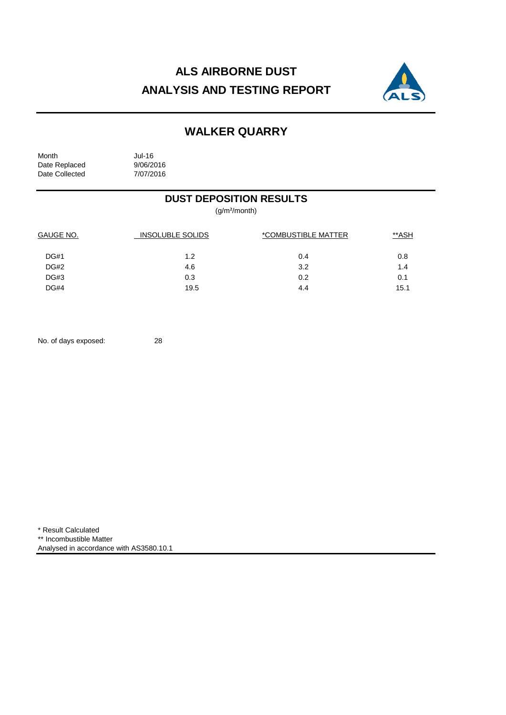# **ALS AIRBORNE DUST ANALYSIS AND TESTING REPORT**



## **WALKER QUARRY**

| Month          | Jul-16    |
|----------------|-----------|
| Date Replaced  | 9/06/2016 |
| Date Collected | 7/07/2016 |

### **DUST DEPOSITION RESULTS**

(g/m²/month)

| <b>GAUGE NO.</b> | <b>INSOLUBLE SOLIDS</b> | *COMBUSTIBLE MATTER | **ASH |
|------------------|-------------------------|---------------------|-------|
| DG#1             | 1.2                     | 0.4                 | 0.8   |
| DG#2             | 4.6                     | 3.2                 | 1.4   |
| DG#3             | 0.3                     | 0.2                 | 0.1   |
| <b>DG#4</b>      | 19.5                    | 4.4                 | 15.1  |

No. of days exposed: 28

\* Result Calculated \*\* Incombustible Matter Analysed in accordance with AS3580.10.1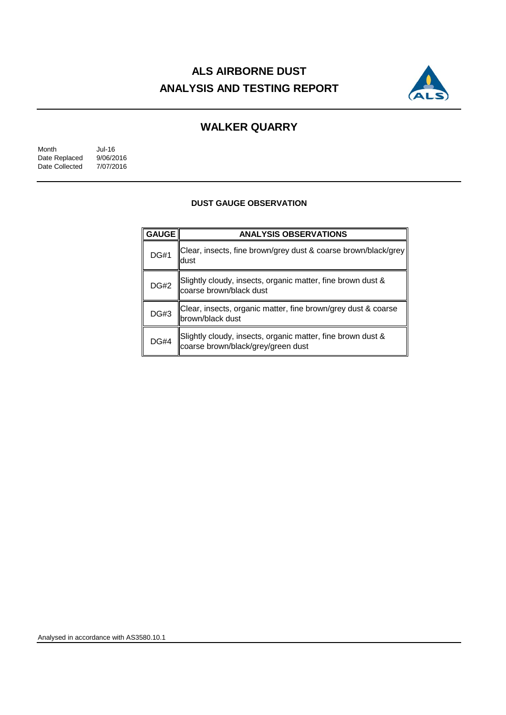# **ALS AIRBORNE DUST ANALYSIS AND TESTING REPORT**



### **WALKER QUARRY**

Month Jul-16<br>Date Replaced 9/06/2016 Date Replaced 9/06/2016<br>Date Collected 7/07/2016 Date Collected

#### **DUST GAUGE OBSERVATION**

| <b>GAUGE</b> | <b>ANALYSIS OBSERVATIONS</b>                                                                      |  |  |
|--------------|---------------------------------------------------------------------------------------------------|--|--|
| <b>DG#1</b>  | Clear, insects, fine brown/grey dust & coarse brown/black/grey<br>ldust                           |  |  |
| <b>DG#2</b>  | Slightly cloudy, insects, organic matter, fine brown dust &<br>coarse brown/black dust            |  |  |
| <b>DG#3</b>  | Clear, insects, organic matter, fine brown/grey dust & coarse<br>brown/black dust                 |  |  |
| <b>DG#4</b>  | Slightly cloudy, insects, organic matter, fine brown dust &<br>coarse brown/black/grey/green dust |  |  |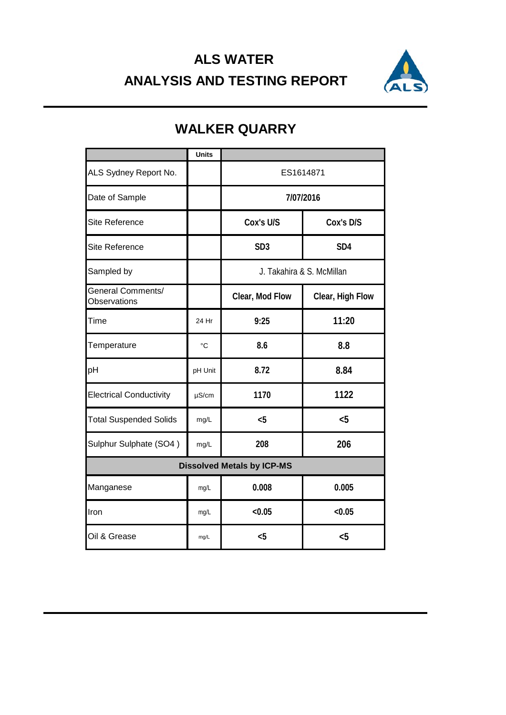## **ALS WATER ANALYSIS AND TESTING REPORT**



|                                          | <b>Units</b> |                           |                  |  |
|------------------------------------------|--------------|---------------------------|------------------|--|
| ALS Sydney Report No.                    |              | ES1614871                 |                  |  |
| Date of Sample                           |              | 7/07/2016                 |                  |  |
| <b>Site Reference</b>                    |              | Cox's U/S<br>Cox's D/S    |                  |  |
| <b>Site Reference</b>                    |              | SD <sub>3</sub>           | SD <sub>4</sub>  |  |
| Sampled by                               |              | J. Takahira & S. McMillan |                  |  |
| <b>General Comments/</b><br>Observations |              | Clear, Mod Flow           | Clear, High Flow |  |
| Time                                     | 24 Hr        | 9:25                      | 11:20            |  |
| Temperature                              | $^{\circ}C$  | 8.6                       | 8.8              |  |
| pH                                       | pH Unit      | 8.72                      | 8.84             |  |
| <b>Electrical Conductivity</b>           | $\mu$ S/cm   | 1170                      | 1122             |  |
| <b>Total Suspended Solids</b>            | mg/L         | $5$                       | $5$              |  |
| Sulphur Sulphate (SO4)                   | mg/L         | 208                       | 206              |  |
| <b>Dissolved Metals by ICP-MS</b>        |              |                           |                  |  |
| Manganese                                | mg/L         | 0.008                     | 0.005            |  |
| Iron                                     | mg/L         | < 0.05                    | < 0.05           |  |
| Oil & Grease                             | mg/L         | < 5                       | $5$              |  |

## **WALKER QUARRY**